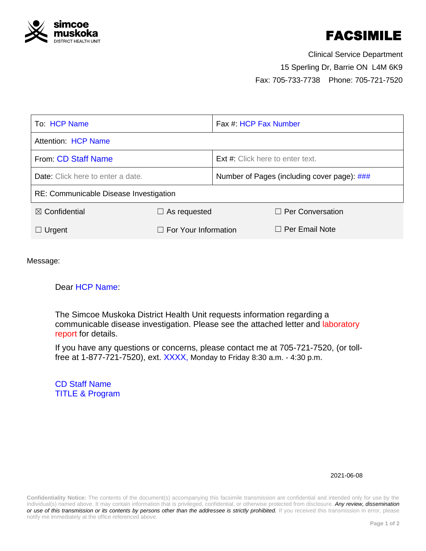

# FACSIMILE

<span id="page-0-1"></span>Clinical Service Department 15 Sperling Dr, Barrie ON L4M 6K9 Fax: 705-733-7738 Phone: 705-721-7520

<span id="page-0-0"></span>

| To: HCP Name                             |                             | Fax #: HCP Fax Number                       |                         |  |
|------------------------------------------|-----------------------------|---------------------------------------------|-------------------------|--|
| Attention: HCP Name                      |                             |                                             |                         |  |
| From: CD Staff Name                      |                             | <b>Ext #:</b> Click here to enter text.     |                         |  |
| <b>Date:</b> Click here to enter a date. |                             | Number of Pages (including cover page): ### |                         |  |
| RE: Communicable Disease Investigation   |                             |                                             |                         |  |
| $\boxtimes$ Confidential                 | $\Box$ As requested         |                                             | $\Box$ Per Conversation |  |
| $\Box$ Urgent                            | $\Box$ For Your Information |                                             | $\Box$ Per Email Note   |  |

Message:

## Dear HCP Name:

The Simcoe Muskoka District Health Unit requests information regarding a communicable disease investigation. Please see the attached letter and laboratory report for details.

If you have any questions or concerns, please contact me at 705-721-7520, (or tollfree at 1-877-721-7520), ext. XXXX, Monday to Friday 8:30 a.m. - 4:30 p.m.

CD Staff Name TITLE & Program

#### 2021-06-08

**Confidentiality Notice:** The contents of the document(s) accompanying this facsimile transmission are confidential and intended only for use by the individual(s) named above. It may contain information that is privileged, confidential, or otherwise protected from disclosure. *Any review, dissemination*  or use of this transmission or its contents by persons other than the addressee is strictly prohibited. If you received this transmission in error, please notify me immediately at the office referenced above.